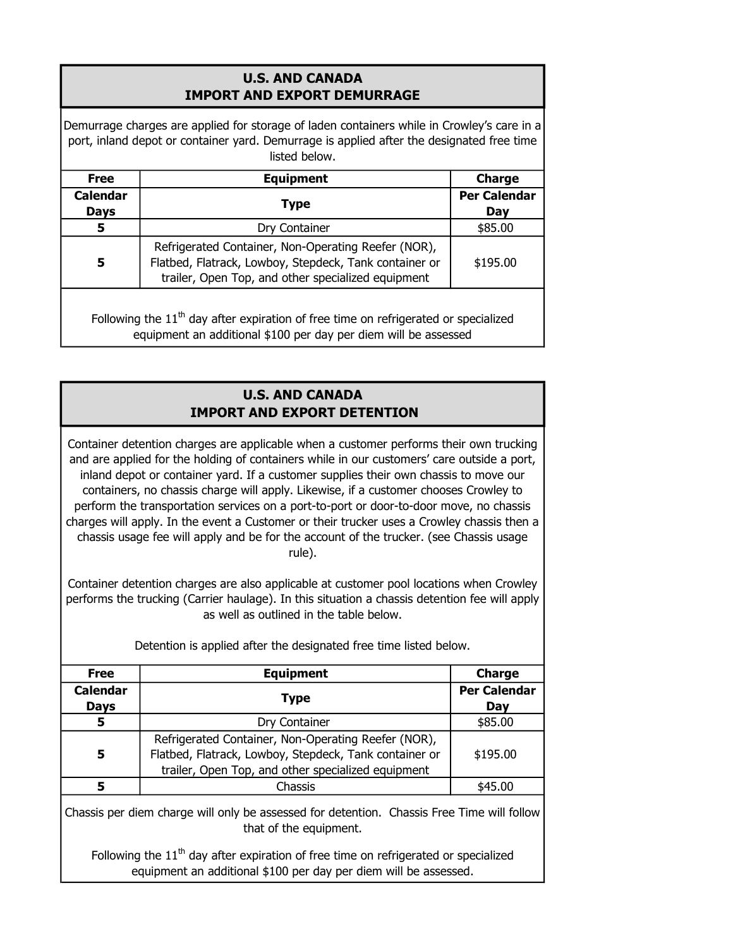## U.S. AND CANADA IMPORT AND EXPORT DEMURRAGE

Demurrage charges are applied for storage of laden containers while in Crowley's care in a port, inland depot or container yard. Demurrage is applied after the designated free time listed below.

| <b>Free</b>                    | <b>Equipment</b>                                                                                                                                                    | <b>Charge</b>              |
|--------------------------------|---------------------------------------------------------------------------------------------------------------------------------------------------------------------|----------------------------|
| <b>Calendar</b><br><b>Days</b> | <b>Type</b>                                                                                                                                                         | <b>Per Calendar</b><br>Day |
| 5                              | Dry Container                                                                                                                                                       | \$85.00                    |
| 5                              | Refrigerated Container, Non-Operating Reefer (NOR),<br>Flatbed, Flatrack, Lowboy, Stepdeck, Tank container or<br>trailer, Open Top, and other specialized equipment | \$195.00                   |

Following the  $11<sup>th</sup>$  day after expiration of free time on refrigerated or specialized equipment an additional \$100 per day per diem will be assessed

## U.S. AND CANADA IMPORT AND EXPORT DETENTION

Container detention charges are applicable when a customer performs their own trucking and are applied for the holding of containers while in our customers' care outside a port, inland depot or container yard. If a customer supplies their own chassis to move our containers, no chassis charge will apply. Likewise, if a customer chooses Crowley to perform the transportation services on a port-to-port or door-to-door move, no chassis charges will apply. In the event a Customer or their trucker uses a Crowley chassis then a chassis usage fee will apply and be for the account of the trucker. (see Chassis usage rule).

Container detention charges are also applicable at customer pool locations when Crowley performs the trucking (Carrier haulage). In this situation a chassis detention fee will apply as well as outlined in the table below.

| <b>Free</b>     | <b>Equipment</b>                                       | <b>Charge</b>       |
|-----------------|--------------------------------------------------------|---------------------|
| <b>Calendar</b> | <b>Type</b>                                            | <b>Per Calendar</b> |
| <b>Days</b>     |                                                        | Day                 |
| 5               | Dry Container                                          | \$85.00             |
| 5               | Refrigerated Container, Non-Operating Reefer (NOR),    |                     |
|                 | Flatbed, Flatrack, Lowboy, Stepdeck, Tank container or | \$195.00            |
|                 | trailer, Open Top, and other specialized equipment     |                     |
|                 | Chassis                                                | \$45.00             |

Detention is applied after the designated free time listed below.

Chassis per diem charge will only be assessed for detention. Chassis Free Time will follow that of the equipment.

Following the  $11<sup>th</sup>$  day after expiration of free time on refrigerated or specialized equipment an additional \$100 per day per diem will be assessed.